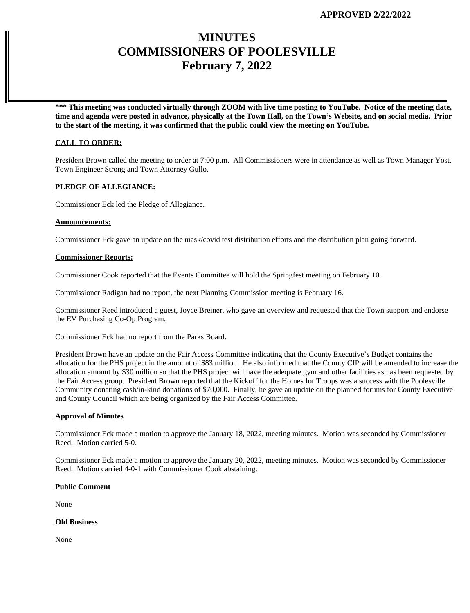# **MINUTES COMMISSIONERS OF POOLESVILLE February 7, 2022**

**\*\*\* This meeting was conducted virtually through ZOOM with live time posting to YouTube. Notice of the meeting date, time and agenda were posted in advance, physically at the Town Hall, on the Town's Website, and on social media. Prior to the start of the meeting, it was confirmed that the public could view the meeting on YouTube.**

## **CALL TO ORDER:**

President Brown called the meeting to order at 7:00 p.m. All Commissioners were in attendance as well as Town Manager Yost, Town Engineer Strong and Town Attorney Gullo.

# **PLEDGE OF ALLEGIANCE:**

Commissioner Eck led the Pledge of Allegiance.

## **Announcements:**

Commissioner Eck gave an update on the mask/covid test distribution efforts and the distribution plan going forward.

## **Commissioner Reports:**

Commissioner Cook reported that the Events Committee will hold the Springfest meeting on February 10.

Commissioner Radigan had no report, the next Planning Commission meeting is February 16.

Commissioner Reed introduced a guest, Joyce Breiner, who gave an overview and requested that the Town support and endorse the EV Purchasing Co-Op Program.

Commissioner Eck had no report from the Parks Board.

President Brown have an update on the Fair Access Committee indicating that the County Executive's Budget contains the allocation for the PHS project in the amount of \$83 million. He also informed that the County CIP will be amended to increase the allocation amount by \$30 million so that the PHS project will have the adequate gym and other facilities as has been requested by the Fair Access group. President Brown reported that the Kickoff for the Homes for Troops was a success with the Poolesville Community donating cash/in-kind donations of \$70,000. Finally, he gave an update on the planned forums for County Executive and County Council which are being organized by the Fair Access Committee.

## **Approval of Minutes**

Commissioner Eck made a motion to approve the January 18, 2022, meeting minutes. Motion was seconded by Commissioner Reed. Motion carried 5-0.

Commissioner Eck made a motion to approve the January 20, 2022, meeting minutes. Motion was seconded by Commissioner Reed. Motion carried 4-0-1 with Commissioner Cook abstaining.

#### **Public Comment**

None

## **Old Business**

None